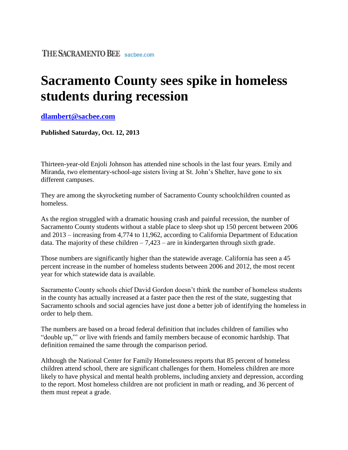## **Sacramento County sees spike in homeless students during recession**

## **[dlambert@sacbee.com](mailto:dlambert@sacbee.com)**

## **Published Saturday, Oct. 12, 2013**

Thirteen-year-old Enjoli Johnson has attended nine schools in the last four years. Emily and Miranda, two elementary-school-age sisters living at St. John's Shelter, have gone to six different campuses.

They are among the skyrocketing number of Sacramento County schoolchildren counted as homeless.

As the region struggled with a dramatic housing crash and painful recession, the number of Sacramento County students without a stable place to sleep shot up 150 percent between 2006 and 2013 – increasing from 4,774 to 11,962, according to California Department of Education data. The majority of these children  $-7,423$  – are in kindergarten through sixth grade.

Those numbers are significantly higher than the statewide average. California has seen a 45 percent increase in the number of homeless students between 2006 and 2012, the most recent year for which statewide data is available.

Sacramento County schools chief David Gordon doesn't think the number of homeless students in the county has actually increased at a faster pace then the rest of the state, suggesting that Sacramento schools and social agencies have just done a better job of identifying the homeless in order to help them.

The numbers are based on a broad federal definition that includes children of families who "double up,"' or live with friends and family members because of economic hardship. That definition remained the same through the comparison period.

Although the National Center for Family Homelessness reports that 85 percent of homeless children attend school, there are significant challenges for them. Homeless children are more likely to have physical and mental health problems, including anxiety and depression, according to the report. Most homeless children are not proficient in math or reading, and 36 percent of them must repeat a grade.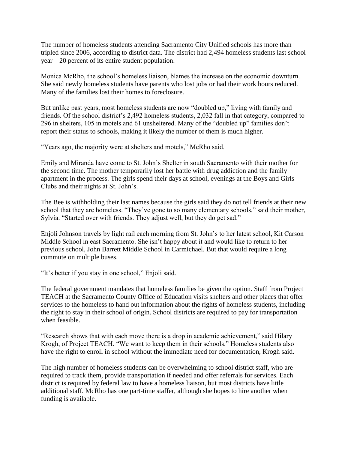The number of homeless students attending Sacramento City Unified schools has more than tripled since 2006, according to district data. The district had 2,494 homeless students last school year – 20 percent of its entire student population.

Monica McRho, the school's homeless liaison, blames the increase on the economic downturn. She said newly homeless students have parents who lost jobs or had their work hours reduced. Many of the families lost their homes to foreclosure.

But unlike past years, most homeless students are now "doubled up," living with family and friends. Of the school district's 2,492 homeless students, 2,032 fall in that category, compared to 296 in shelters, 105 in motels and 61 unsheltered. Many of the "doubled up" families don't report their status to schools, making it likely the number of them is much higher.

"Years ago, the majority were at shelters and motels," McRho said.

Emily and Miranda have come to St. John's Shelter in south Sacramento with their mother for the second time. The mother temporarily lost her battle with drug addiction and the family apartment in the process. The girls spend their days at school, evenings at the Boys and Girls Clubs and their nights at St. John's.

The Bee is withholding their last names because the girls said they do not tell friends at their new school that they are homeless. "They've gone to so many elementary schools," said their mother, Sylvia. "Started over with friends. They adjust well, but they do get sad."

Enjoli Johnson travels by light rail each morning from St. John's to her latest school, Kit Carson Middle School in east Sacramento. She isn't happy about it and would like to return to her previous school, John Barrett Middle School in Carmichael. But that would require a long commute on multiple buses.

"It's better if you stay in one school," Enjoli said.

The federal government mandates that homeless families be given the option. Staff from Project TEACH at the Sacramento County Office of Education visits shelters and other places that offer services to the homeless to hand out information about the rights of homeless students, including the right to stay in their school of origin. School districts are required to pay for transportation when feasible.

"Research shows that with each move there is a drop in academic achievement," said Hilary Krogh, of Project TEACH. "We want to keep them in their schools." Homeless students also have the right to enroll in school without the immediate need for documentation, Krogh said.

The high number of homeless students can be overwhelming to school district staff, who are required to track them, provide transportation if needed and offer referrals for services. Each district is required by federal law to have a homeless liaison, but most districts have little additional staff. McRho has one part-time staffer, although she hopes to hire another when funding is available.